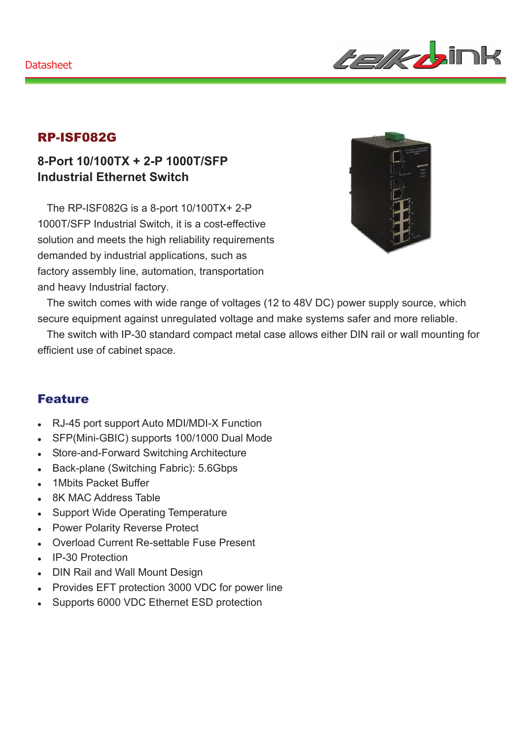

#### RP-ISF082G

### **8-Port 10/100TX + 2-P 1000T/SFP Industrial Ethernet Switch**

The RP-ISF082G is a 8-port 10/100TX+ 2-P 1000T/SFP Industrial Switch, it is a cost-effective solution and meets the high reliability requirements demanded by industrial applications, such as factory assembly line, automation, transportation and heavy Industrial factory.



The switch comes with wide range of voltages (12 to 48V DC) power supply source, which secure equipment against unregulated voltage and make systems safer and more reliable.

The switch with IP-30 standard compact metal case allows either DIN rail or wall mounting for efficient use of cabinet space.

#### Feature

- <sup>z</sup> RJ-45 port support Auto MDI/MDI-X Function
- SFP(Mini-GBIC) supports 100/1000 Dual Mode
- Store-and-Forward Switching Architecture
- Back-plane (Switching Fabric): 5.6Gbps
- 1 Mbits Packet Buffer
- 8K MAC Address Table
- Support Wide Operating Temperature
- Power Polarity Reverse Protect
- Overload Current Re-settable Fuse Present
- IP-30 Protection
- DIN Rail and Wall Mount Design
- Provides EFT protection 3000 VDC for power line
- Supports 6000 VDC Ethernet ESD protection